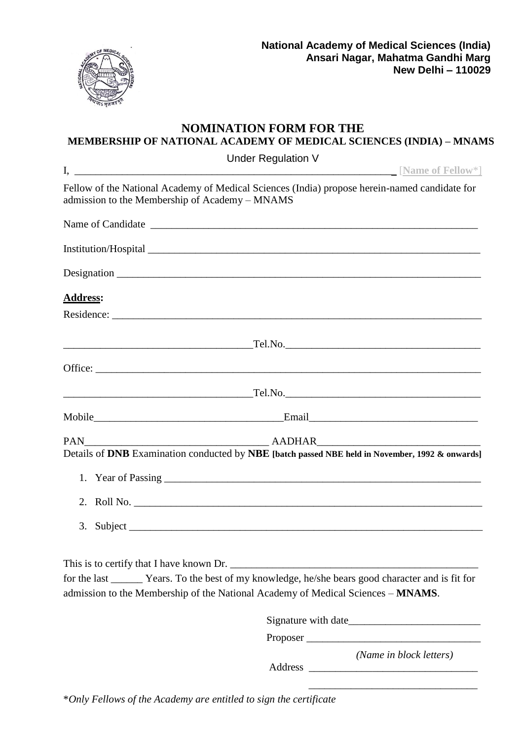

\_\_\_\_\_\_\_\_\_\_\_\_\_\_\_\_\_\_\_\_\_\_\_\_\_\_\_\_\_\_\_\_

#### **NOMINATION FORM FOR THE MEMBERSHIP OF NATIONAL ACADEMY OF MEDICAL SCIENCES (INDIA) – MNAMS** Under Regulation V

| Under Regulation V                                                                                                                              |                         |
|-------------------------------------------------------------------------------------------------------------------------------------------------|-------------------------|
| Fellow of the National Academy of Medical Sciences (India) propose herein-named candidate for<br>admission to the Membership of Academy - MNAMS |                         |
|                                                                                                                                                 |                         |
|                                                                                                                                                 |                         |
|                                                                                                                                                 |                         |
| <b>Address:</b>                                                                                                                                 |                         |
|                                                                                                                                                 |                         |
|                                                                                                                                                 |                         |
|                                                                                                                                                 |                         |
|                                                                                                                                                 |                         |
|                                                                                                                                                 |                         |
|                                                                                                                                                 |                         |
| Details of DNB Examination conducted by NBE [batch passed NBE held in November, 1992 & onwards]                                                 |                         |
|                                                                                                                                                 |                         |
|                                                                                                                                                 |                         |
|                                                                                                                                                 |                         |
|                                                                                                                                                 |                         |
| for the last ________ Years. To the best of my knowledge, he/she bears good character and is fit for                                            |                         |
| admission to the Membership of the National Academy of Medical Sciences - MNAMS.                                                                |                         |
|                                                                                                                                                 |                         |
|                                                                                                                                                 |                         |
| Address                                                                                                                                         | (Name in block letters) |

\**Only Fellows of the Academy are entitled to sign the certificate*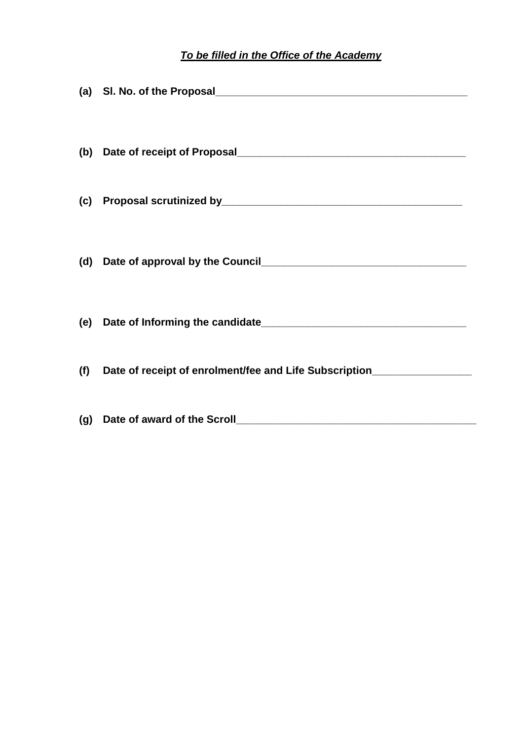# *To be filled in the Office of the Academy*

|     | (d) Date of approval by the Council [20] Date of approval by the Council [20] Date of approval by the Council |
|-----|---------------------------------------------------------------------------------------------------------------|
|     |                                                                                                               |
| (f) | Date of receipt of enrolment/fee and Life Subscription__________________________                              |
|     |                                                                                                               |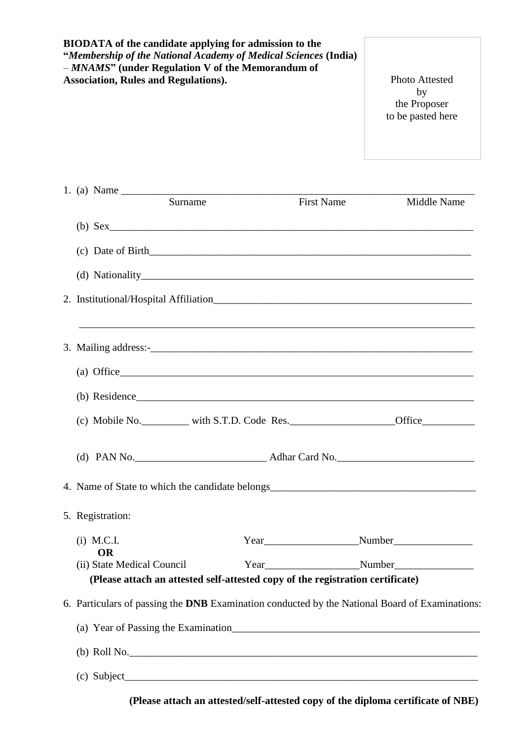| <b>BIODATA</b> of the candidate applying for admission to the<br>"Membership of the National Academy of Medical Sciences (India)<br>$-MNAMS"$ (under Regulation V of the Memorandum of<br><b>Association, Rules and Regulations).</b> |                   | <b>Photo Attested</b><br>by<br>the Proposer<br>to be pasted here |
|---------------------------------------------------------------------------------------------------------------------------------------------------------------------------------------------------------------------------------------|-------------------|------------------------------------------------------------------|
|                                                                                                                                                                                                                                       |                   |                                                                  |
| Surname                                                                                                                                                                                                                               | <b>First Name</b> | <b>Middle Name</b>                                               |
|                                                                                                                                                                                                                                       |                   |                                                                  |
| $\text{(c)}$ Date of Birth                                                                                                                                                                                                            |                   |                                                                  |
|                                                                                                                                                                                                                                       |                   |                                                                  |
|                                                                                                                                                                                                                                       |                   |                                                                  |
| ,我们也不能在这里的时候,我们也不能在这里的时候,我们也不能会在这里的时候,我们也不能会在这里的时候,我们也不能会在这里的时候,我们也不能会在这里的时候,我们也不                                                                                                                                                     |                   |                                                                  |
|                                                                                                                                                                                                                                       |                   |                                                                  |
|                                                                                                                                                                                                                                       |                   |                                                                  |
| $\alpha$ (c) Mobile No. with S.T.D. Code Res.                                                                                                                                                                                         |                   |                                                                  |
|                                                                                                                                                                                                                                       |                   |                                                                  |
|                                                                                                                                                                                                                                       |                   |                                                                  |
| 5. Registration:                                                                                                                                                                                                                      |                   |                                                                  |
| $(i)$ M.C.I.                                                                                                                                                                                                                          |                   |                                                                  |
| <b>OR</b><br>(ii) State Medical Council<br>(Please attach an attested self-attested copy of the registration certificate)                                                                                                             |                   |                                                                  |
| 6. Particulars of passing the DNB Examination conducted by the National Board of Examinations:                                                                                                                                        |                   |                                                                  |
|                                                                                                                                                                                                                                       |                   |                                                                  |
| $(b)$ Roll No.                                                                                                                                                                                                                        |                   |                                                                  |
|                                                                                                                                                                                                                                       |                   |                                                                  |

 **(Please attach an attested/self-attested copy of the diploma certificate of NBE)**